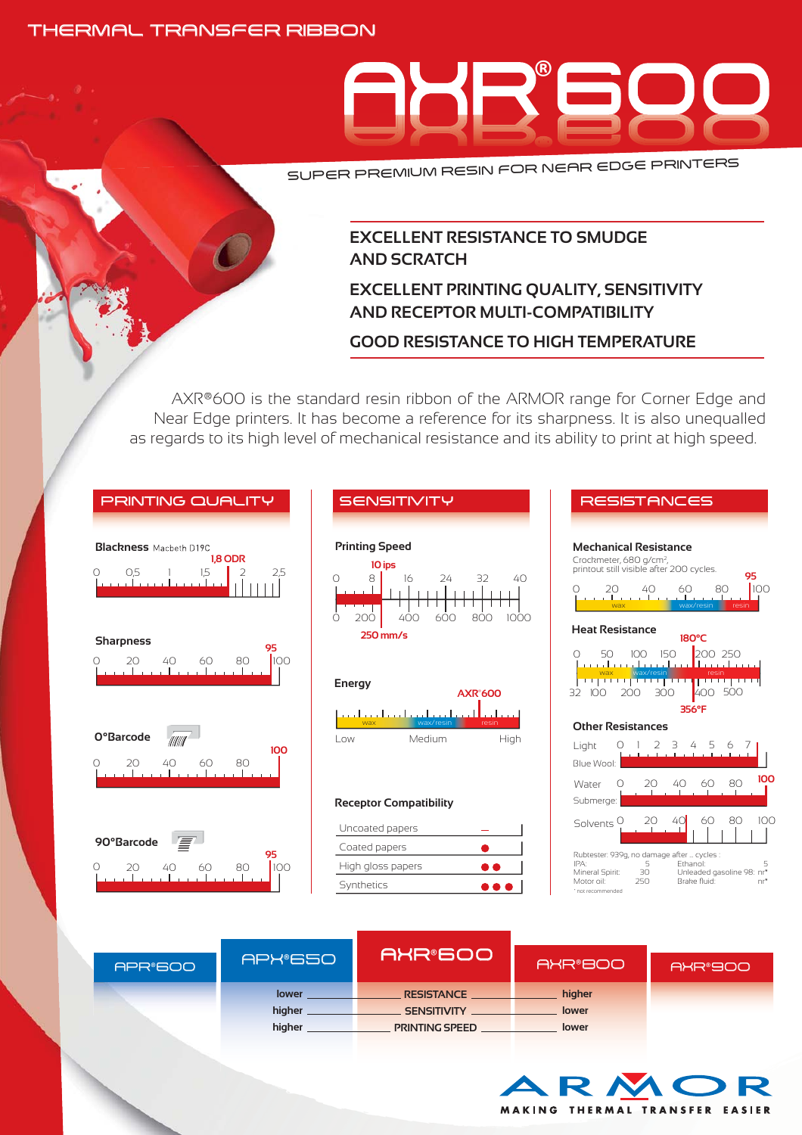### THERMAL TRANSFER RIBBON



SUPER PREMIUM RESIN FOR NEAR EDGE PRINTERS

# **EXCELLENT RESISTANCE TO SMUDGE AND SCRATCH**

# **EXCELLENT PRINTING QUALITY, SENSITIVITY AND RECEPTOR MULTI-COMPATIBILITY**

## **GOOD RESISTANCE TO HIGH TEMPERATURE**

AXR®600 is the standard resin ribbon of the ARMOR range for Corner Edge and Near Edge printers. It has become a reference for its sharpness. It is also unequalled as regards to its high level of mechanical resistance and its ability to print at high speed.

| <b>PRINTING QUALITY</b>                                                | <b>SENSITIVITY</b>                                                                                                            | <b>RESISTANCES</b>                                                                                                                                                                                                                                                      |
|------------------------------------------------------------------------|-------------------------------------------------------------------------------------------------------------------------------|-------------------------------------------------------------------------------------------------------------------------------------------------------------------------------------------------------------------------------------------------------------------------|
| <b>Blackness</b> Macbeth D19C<br>1.8 ODR<br>O <sub>5</sub><br>1.5<br>Ω | <b>Printing Speed</b><br>10 ips<br>8<br>32<br>$\bigcirc$<br>16<br>24<br>$40^{\circ}$<br>800<br>200<br>400<br>600<br>1000<br>Ω | <b>Mechanical Resistance</b><br>Crockmeter, 680 g/cm <sup>2</sup> ,<br>printout still visible after 200 cycles.<br>95<br>100<br>40<br>60<br>20<br>80<br>$\left( \right)$<br>. 1 1 1<br>wax<br>wax/resin<br>resin                                                        |
| <b>Sharpness</b><br>95<br>100<br>20<br>40<br>60<br>80<br>O             | 250 mm/s<br><b>Energy</b><br><b>AXR°600</b>                                                                                   | <b>Heat Resistance</b><br>180°C<br>200 250<br>50<br>100<br>150<br>Ω<br>an dan dan dari landan<br>wax<br>wax/resin<br>resin<br>تساملها والمتحالي والمتحال والمتحال المتحاج الماد<br>400 500<br>300<br>32 100<br>200                                                      |
| O°Barcode<br>litilit <sup>i</sup><br>100<br>20<br>40<br>60<br>80<br>O  | المتحدا وتواطئوه والمتحدا وبالمردد المتحدا وتحدد<br>wax<br>wax/resin<br>resin<br>Medium<br>High<br>Low                        | 356°F<br><b>Other Resistances</b><br>Light<br>Ь<br>6<br>. <b>.</b> . <b>.</b><br>Blue Wool:<br>100<br>80<br>Water<br>60<br>20.<br>40<br>$\left( \right)$                                                                                                                |
| 90°Barcode<br>95<br>100<br>$\bigcirc$<br>20<br>60<br>80<br>40          | <b>Receptor Compatibility</b><br>Uncoated papers<br>Coated papers<br>High gloss papers<br>Synthetics<br>. .                   | Submerge:<br>60<br>80<br>100<br>40<br>20<br>Solvents <sup>O</sup><br>Rubtester: 939g, no damage after  cycles :<br>IPA:<br>5<br>Ethanol:<br>5<br>Unleaded gasoline 98: nr*<br>Mineral Spirit:<br>30<br>Brake fluid:<br>Motor oil:<br>250<br>$nr^*$<br>* not recommended |
|                                                                        |                                                                                                                               |                                                                                                                                                                                                                                                                         |

| APR®600 | APX®650 | <b>IAXR®600'</b>      | AXR®800 | AXR®900 |
|---------|---------|-----------------------|---------|---------|
|         | lower   | <b>RESISTANCE</b>     | higher  |         |
|         | higher  | <b>SENSITIVITY</b>    | lower   |         |
|         | higher  | <b>PRINTING SPEED</b> | lower   |         |